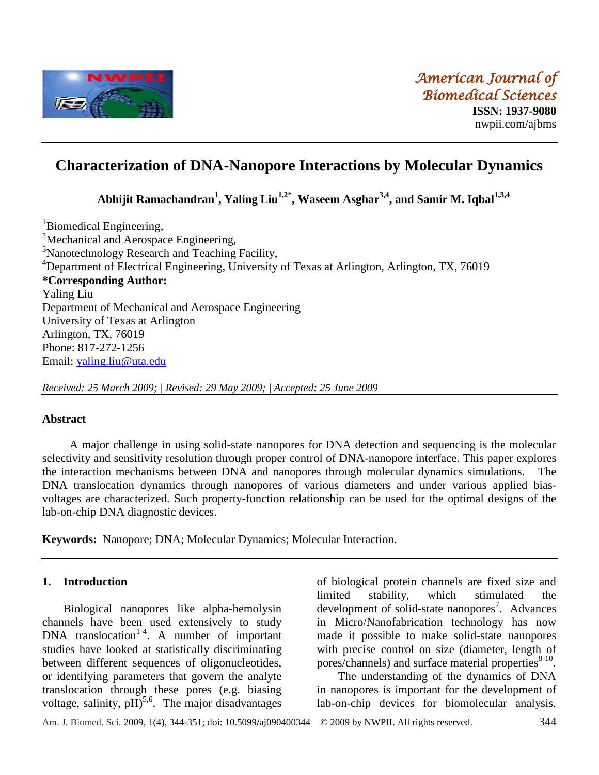

# **Characterization of DNA-Nanopore Interactions by Molecular Dynamics**

**Abhijit Ramachandran<sup>1</sup> , Yaling Liu1,2\* , Waseem Asghar3,4 , and Samir M. Iqbal1,3,4**

<sup>1</sup>Biomedical Engineering, <sup>2</sup>Mechanical and Aerospace Engineering, <sup>3</sup>Nanotechnology Research and Teaching Facility, <sup>4</sup>Department of Electrical Engineering, University of Texas at Arlington, Arlington, TX, 76019 **\*Corresponding Author:** Yaling Liu Department of Mechanical and Aerospace Engineering University of Texas at Arlington Arlington, TX, 76019 Phone: 817-272-1256 Email: [yaling.liu@uta.edu](mailto:yaling.liu@uta.edu)

*Received: 25 March 2009; | Revised: 29 May 2009; | Accepted: 25 June 2009*

# **Abstract**

A major challenge in using solid-state nanopores for DNA detection and sequencing is the molecular selectivity and sensitivity resolution through proper control of DNA-nanopore interface. This paper explores the interaction mechanisms between DNA and nanopores through molecular dynamics simulations. The DNA translocation dynamics through nanopores of various diameters and under various applied biasvoltages are characterized. Such property-function relationship can be used for the optimal designs of the lab-on-chip DNA diagnostic devices.

**Keywords:** Nanopore; DNA; Molecular Dynamics; Molecular Interaction.

# **1. Introduction**

Biological nanopores like alpha-hemolysin channels have been used extensively to study DNA translocation<sup>1-4</sup>. A number of important studies have looked at statistically discriminating between different sequences of oligonucleotides, or identifying parameters that govern the analyte translocation through these pores (e.g. biasing voltage, salinity,  $pH$ <sup>5,6</sup>. The major disadvantages

of biological protein channels are fixed size and limited stability, which stimulated the development of solid-state nanopores<sup>7</sup>. Advances in Micro/Nanofabrication technology has now made it possible to make solid-state nanopores with precise control on size (diameter, length of pores/channels) and surface material properties $8-10$ .

The understanding of the dynamics of DNA in nanopores is important for the development of lab-on-chip devices for biomolecular analysis.

Am. J. Biomed. Sci. 2009, 1(4), 344-351; doi: 10.5099**/**aj090400344© 2009 by NWPII. All rights reserved. 344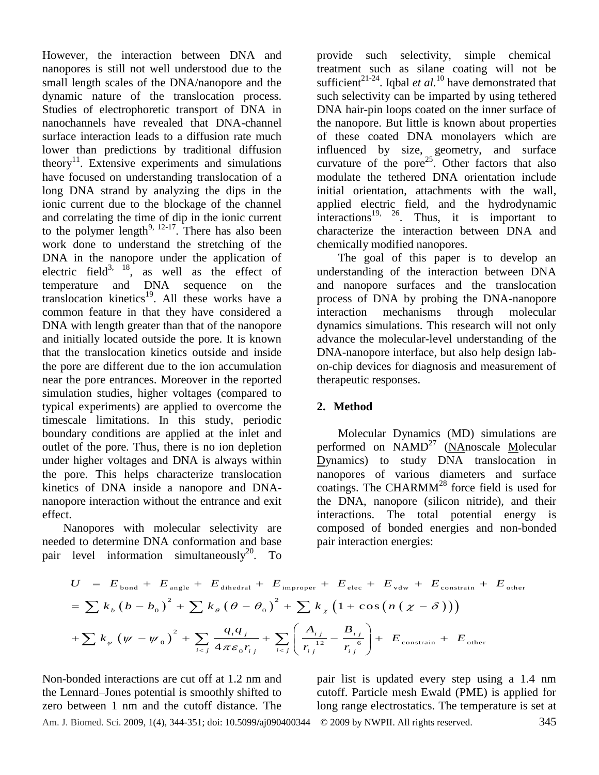However, the interaction between DNA and nanopores is still not well understood due to the small length scales of the DNA/nanopore and the dynamic nature of the translocation process. Studies of electrophoretic transport of DNA in nanochannels have revealed that DNA-channel surface interaction leads to a diffusion rate much lower than predictions by traditional diffusion theory<sup>11</sup>. Extensive experiments and simulations have focused on understanding translocation of a long DNA strand by analyzing the dips in the ionic current due to the blockage of the channel and correlating the time of dip in the ionic current to the polymer length<sup>9, 12-17</sup>. There has also been work done to understand the stretching of the DNA in the nanopore under the application of electric field<sup>3, 18</sup>, as well as the effect of temperature and DNA sequence on the translocation kinetics<sup>19</sup>. All these works have a common feature in that they have considered a DNA with length greater than that of the nanopore and initially located outside the pore. It is known that the translocation kinetics outside and inside the pore are different due to the ion accumulation near the pore entrances. Moreover in the reported simulation studies, higher voltages (compared to typical experiments) are applied to overcome the timescale limitations. In this study, periodic boundary conditions are applied at the inlet and outlet of the pore. Thus, there is no ion depletion under higher voltages and DNA is always within the pore. This helps characterize translocation kinetics of DNA inside a nanopore and DNAnanopore interaction without the entrance and exit effect.

Nanopores with molecular selectivity are needed to determine DNA conformation and base pair level information simultaneously<sup>20</sup>. To provide such selectivity, simple chemical treatment such as silane coating will not be sufficient<sup>21-24</sup>. Iqbal *et al.*<sup>10</sup> have demonstrated that such selectivity can be imparted by using tethered DNA hair-pin loops coated on the inner surface of the nanopore. But little is known about properties of these coated DNA monolayers which are influenced by size, geometry, and surface curvature of the pore<sup>25</sup>. Other factors that also modulate the tethered DNA orientation include initial orientation, attachments with the wall, applied electric field, and the hydrodynamic interactions<sup>19, 26</sup>. Thus, it is important to characterize the interaction between DNA and chemically modified nanopores.

The goal of this paper is to develop an understanding of the interaction between DNA and nanopore surfaces and the translocation process of DNA by probing the DNA-nanopore interaction mechanisms through molecular dynamics simulations. This research will not only advance the molecular-level understanding of the DNA-nanopore interface, but also help design labon-chip devices for diagnosis and measurement of therapeutic responses.

# **2. Method**

Molecular Dynamics (MD) simulations are performed on  $NAMD^{27}$  (NAnoscale Molecular Dynamics) to study DNA translocation in nanopores of various diameters and surface coatings. The CHARMM<sup>28</sup> force field is used for the DNA, nanopore (silicon nitride), and their interactions. The total potential energy is composed of bonded energies and non-bonded pair interaction energies:

d to determine DNA conformation and base  
\nlevel information simultaneously<sup>20</sup>. To  
\n
$$
U = E_{\text{bond}} + E_{\text{angle}} + E_{\text{dihedral}} + E_{\text{improper}} + E_{\text{elec}} + E_{\text{vdw}} + E_{\text{constraint}} + E_{\text{other}}
$$
\n
$$
= \sum k_b (b - b_0)^2 + \sum k_\theta (\theta - \theta_0)^2 + \sum k_\chi (1 + \cos (n (\chi - \delta)))
$$
\n
$$
+ \sum k_\psi (\psi - \psi_0)^2 + \sum_{i < j} \frac{q_i q_j}{4 \pi \varepsilon_0 r_{ij}} + \sum_{i < j} \left( \frac{A_{ij}}{r_{ij}^{12}} - \frac{B_{ij}}{r_{ij}^{6}} \right) + E_{\text{constraint}} + E_{\text{other}}
$$

Am. J. Biomed. Sci. 2009, 1(4), 344-351; doi: 10.5099**/**aj090400344© 2009 by NWPII. All rights reserved. 345 Non-bonded interactions are cut off at 1.2 nm and the Lennard–Jones potential is smoothly shifted to zero between 1 nm and the cutoff distance. The

pair list is updated every step using a 1.4 nm cutoff. Particle mesh Ewald (PME) is applied for long range electrostatics. The temperature is set at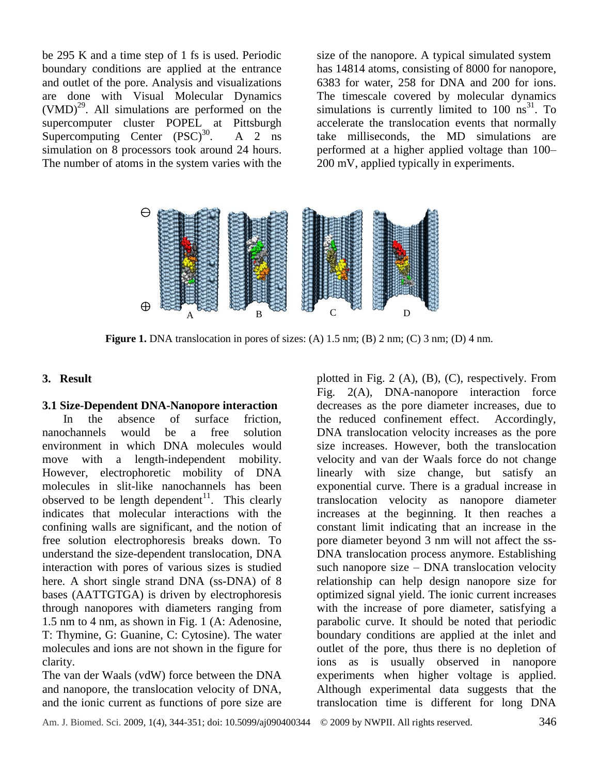be 295 K and a time step of 1 fs is used. Periodic boundary conditions are applied at the entrance and outlet of the pore. Analysis and visualizations are done with Visual Molecular Dynamics  $(VMD)^{29}$ . All simulations are performed on the supercomputer cluster POPEL at Pittsburgh Supercomputing Center  $(PSC)^{30}$ .  $A \quad 2 \quad ns$ simulation on 8 processors took around 24 hours. The number of atoms in the system varies with the

size of the nanopore. A typical simulated system has 14814 atoms, consisting of 8000 for nanopore, 6383 for water, 258 for DNA and 200 for ions. The timescale covered by molecular dynamics simulations is currently limited to  $100 \text{ ns}^3$ . To accelerate the translocation events that normally take milliseconds, the MD simulations are performed at a higher applied voltage than 100– 200 mV, applied typically in experiments.



**Figure 1.** DNA translocation in pores of sizes: (A) 1.5 nm; (B) 2 nm; (C) 3 nm; (D) 4 nm.

#### **3. Result**

## **3.1 Size-Dependent DNA-Nanopore interaction**

In the absence of surface friction, nanochannels would be a free solution environment in which DNA molecules would move with a length-independent mobility. However, electrophoretic mobility of DNA molecules in slit-like nanochannels has been observed to be length dependent<sup>11</sup>. This clearly indicates that molecular interactions with the confining walls are significant, and the notion of free solution electrophoresis breaks down. To understand the size-dependent translocation, DNA interaction with pores of various sizes is studied here. A short single strand DNA (ss-DNA) of 8 bases (AATTGTGA) is driven by electrophoresis through nanopores with diameters ranging from 1.5 nm to 4 nm, as shown in Fig. 1 (A: Adenosine, T: Thymine, G: Guanine, C: Cytosine). The water molecules and ions are not shown in the figure for clarity.

The van der Waals (vdW) force between the DNA and nanopore, the translocation velocity of DNA, and the ionic current as functions of pore size are

plotted in Fig. 2  $(A)$ ,  $(B)$ ,  $(C)$ , respectively. From Fig. 2(A), DNA-nanopore interaction force decreases as the pore diameter increases, due to the reduced confinement effect. Accordingly, DNA translocation velocity increases as the pore size increases. However, both the translocation velocity and van der Waals force do not change linearly with size change, but satisfy an exponential curve. There is a gradual increase in translocation velocity as nanopore diameter increases at the beginning. It then reaches a constant limit indicating that an increase in the pore diameter beyond 3 nm will not affect the ss-DNA translocation process anymore. Establishing such nanopore size – DNA translocation velocity relationship can help design nanopore size for optimized signal yield. The ionic current increases with the increase of pore diameter, satisfying a parabolic curve. It should be noted that periodic boundary conditions are applied at the inlet and outlet of the pore, thus there is no depletion of ions as is usually observed in nanopore experiments when higher voltage is applied. Although experimental data suggests that the translocation time is different for long DNA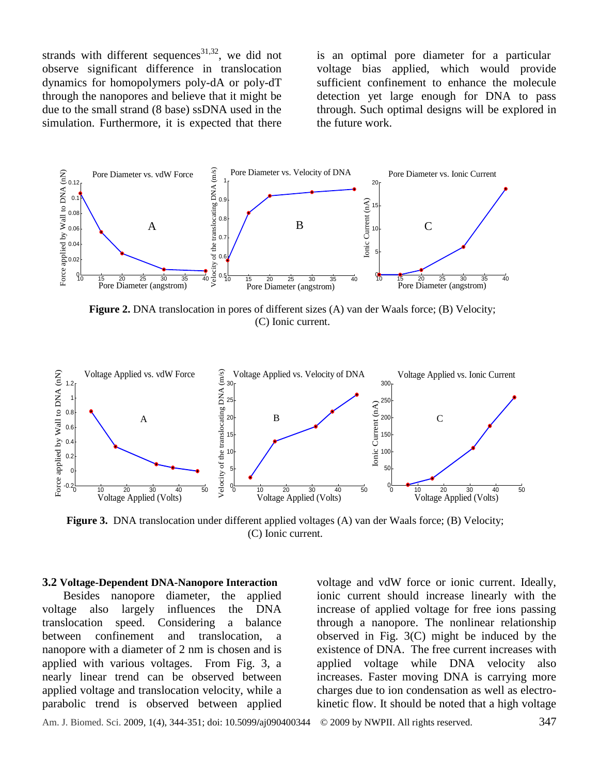strands with different sequences<sup>31,32</sup>, we did not observe significant difference in translocation dynamics for homopolymers poly-dA or poly-dT through the nanopores and believe that it might be due to the small strand (8 base) ssDNA used in the simulation. Furthermore, it is expected that there

is an optimal pore diameter for a particular voltage bias applied, which would provide sufficient confinement to enhance the molecule detection yet large enough for DNA to pass through. Such optimal designs will be explored in the future work.



**Figure 2.** DNA translocation in pores of different sizes (A) van der Waals force; (B) Velocity; (C) Ionic current.



**Figure 3.** DNA translocation under different applied voltages (A) van der Waals force; (B) Velocity; (C) Ionic current.

#### **3.2 Voltage-Dependent DNA-Nanopore Interaction**

Besides nanopore diameter, the applied voltage also largely influences the DNA translocation speed. Considering a balance between confinement and translocation, a nanopore with a diameter of 2 nm is chosen and is applied with various voltages. From Fig. 3, a nearly linear trend can be observed between applied voltage and translocation velocity, while a parabolic trend is observed between applied

voltage and vdW force or ionic current. Ideally, ionic current should increase linearly with the increase of applied voltage for free ions passing through a nanopore. The nonlinear relationship observed in Fig. 3(C) might be induced by the existence of DNA. The free current increases with applied voltage while DNA velocity also increases. Faster moving DNA is carrying more charges due to ion condensation as well as electrokinetic flow. It should be noted that a high voltage

Am. J. Biomed. Sci. 2009, 1(4), 344-351; doi: 10.5099**/**aj090400344© 2009 by NWPII. All rights reserved. 347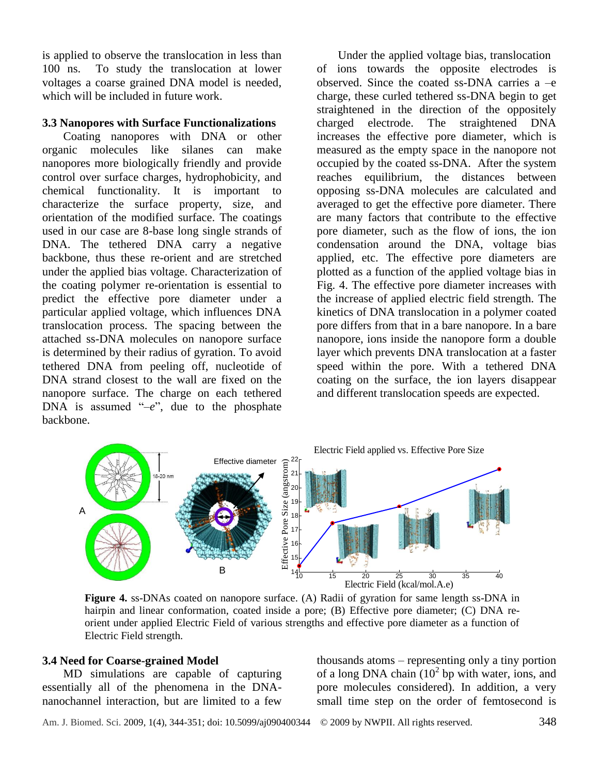is applied to observe the translocation in less than 100 ns. To study the translocation at lower voltages a coarse grained DNA model is needed, which will be included in future work.

#### **3.3 Nanopores with Surface Functionalizations**

Coating nanopores with DNA or other organic molecules like silanes can make nanopores more biologically friendly and provide control over surface charges, hydrophobicity, and chemical functionality. It is important to characterize the surface property, size, and orientation of the modified surface. The coatings used in our case are 8-base long single strands of DNA. The tethered DNA carry a negative backbone, thus these re-orient and are stretched under the applied bias voltage. Characterization of the coating polymer re-orientation is essential to predict the effective pore diameter under a particular applied voltage, which influences DNA translocation process. The spacing between the attached ss-DNA molecules on nanopore surface is determined by their radius of gyration. To avoid tethered DNA from peeling off, nucleotide of DNA strand closest to the wall are fixed on the nanopore surface. The charge on each tethered DNA is assumed "-e", due to the phosphate backbone.

Under the applied voltage bias, translocation of ions towards the opposite electrodes is observed. Since the coated ss-DNA carries a –e charge, these curled tethered ss-DNA begin to get straightened in the direction of the oppositely charged electrode. The straightened DNA increases the effective pore diameter, which is measured as the empty space in the nanopore not occupied by the coated ss-DNA. After the system reaches equilibrium, the distances between opposing ss-DNA molecules are calculated and averaged to get the effective pore diameter. There are many factors that contribute to the effective pore diameter, such as the flow of ions, the ion condensation around the DNA, voltage bias applied, etc. The effective pore diameters are plotted as a function of the applied voltage bias in Fig. 4. The effective pore diameter increases with the increase of applied electric field strength. The kinetics of DNA translocation in a polymer coated pore differs from that in a bare nanopore. In a bare nanopore, ions inside the nanopore form a double layer which prevents DNA translocation at a faster speed within the pore. With a tethered DNA coating on the surface, the ion layers disappear and different translocation speeds are expected.



**Figure 4.** ss-DNAs coated on nanopore surface. (A) Radii of gyration for same length ss-DNA in hairpin and linear conformation, coated inside a pore; (B) Effective pore diameter; (C) DNA reorient under applied Electric Field of various strengths and effective pore diameter as a function of Electric Field strength.

## **3.4 Need for Coarse-grained Model**

MD simulations are capable of capturing essentially all of the phenomena in the DNAnanochannel interaction, but are limited to a few thousands atoms – representing only a tiny portion of a long DNA chain  $(10^2$  bp with water, ions, and pore molecules considered). In addition, a very small time step on the order of femtosecond is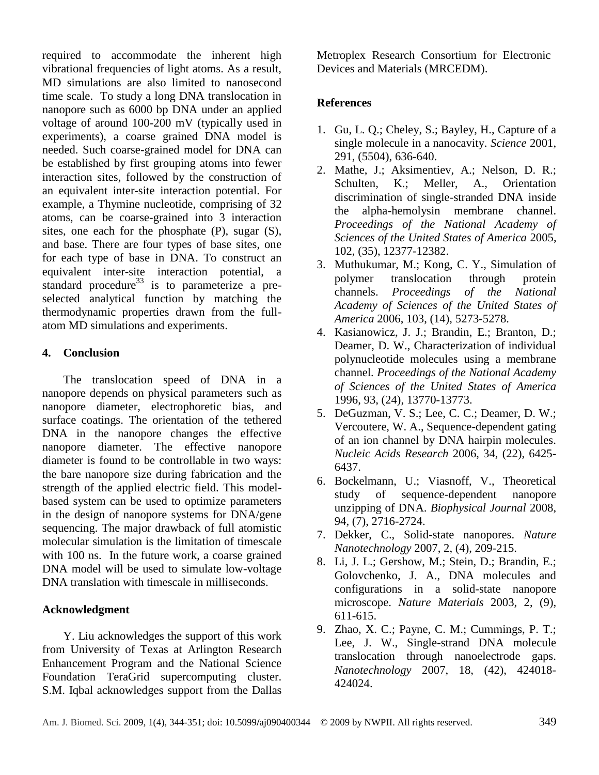required to accommodate the inherent high vibrational frequencies of light atoms. As a result, MD simulations are also limited to nanosecond time scale. To study a long DNA translocation in nanopore such as 6000 bp DNA under an applied voltage of around 100-200 mV (typically used in experiments), a coarse grained DNA model is needed. Such coarse-grained model for DNA can be established by first grouping atoms into fewer interaction sites, followed by the construction of an equivalent inter-site interaction potential. For example, a Thymine nucleotide, comprising of 32 atoms, can be coarse-grained into 3 interaction sites, one each for the phosphate (P), sugar (S), and base. There are four types of base sites, one for each type of base in DNA. To construct an equivalent inter-site interaction potential, a standard procedure<sup>33</sup> is to parameterize a preselected analytical function by matching the thermodynamic properties drawn from the fullatom MD simulations and experiments.

# **4. Conclusion**

The translocation speed of DNA in a nanopore depends on physical parameters such as nanopore diameter, electrophoretic bias, and surface coatings. The orientation of the tethered DNA in the nanopore changes the effective nanopore diameter. The effective nanopore diameter is found to be controllable in two ways: the bare nanopore size during fabrication and the strength of the applied electric field. This modelbased system can be used to optimize parameters in the design of nanopore systems for DNA/gene sequencing. The major drawback of full atomistic molecular simulation is the limitation of timescale with 100 ns. In the future work, a coarse grained DNA model will be used to simulate low-voltage DNA translation with timescale in milliseconds.

## **Acknowledgment**

Y. Liu acknowledges the support of this work from University of Texas at Arlington Research Enhancement Program and the National Science Foundation TeraGrid supercomputing cluster. S.M. Iqbal acknowledges support from the Dallas

Metroplex Research Consortium for Electronic Devices and Materials (MRCEDM).

## **References**

- 1. Gu, L. Q.; Cheley, S.; Bayley, H., Capture of a single molecule in a nanocavity. *Science* 2001, 291, (5504), 636-640.
- 2. Mathe, J.; Aksimentiev, A.; Nelson, D. R.; Schulten, K.; Meller, A., Orientation discrimination of single-stranded DNA inside the alpha-hemolysin membrane channel. *Proceedings of the National Academy of Sciences of the United States of America* 2005, 102, (35), 12377-12382.
- 3. Muthukumar, M.; Kong, C. Y., Simulation of polymer translocation through protein channels. *Proceedings of the National Academy of Sciences of the United States of America* 2006, 103, (14), 5273-5278.
- 4. Kasianowicz, J. J.; Brandin, E.; Branton, D.; Deamer, D. W., Characterization of individual polynucleotide molecules using a membrane channel. *Proceedings of the National Academy of Sciences of the United States of America*  1996, 93, (24), 13770-13773.
- 5. DeGuzman, V. S.; Lee, C. C.; Deamer, D. W.; Vercoutere, W. A., Sequence-dependent gating of an ion channel by DNA hairpin molecules. *Nucleic Acids Research* 2006, 34, (22), 6425- 6437.
- 6. Bockelmann, U.; Viasnoff, V., Theoretical study of sequence-dependent nanopore unzipping of DNA. *Biophysical Journal* 2008, 94, (7), 2716-2724.
- 7. Dekker, C., Solid-state nanopores. *Nature Nanotechnology* 2007, 2, (4), 209-215.
- 8. Li, J. L.; Gershow, M.; Stein, D.; Brandin, E.; Golovchenko, J. A., DNA molecules and configurations in a solid-state nanopore microscope. *Nature Materials* 2003, 2, (9), 611-615.
- 9. Zhao, X. C.; Payne, C. M.; Cummings, P. T.; Lee, J. W., Single-strand DNA molecule translocation through nanoelectrode gaps. *Nanotechnology* 2007, 18, (42), 424018- 424024.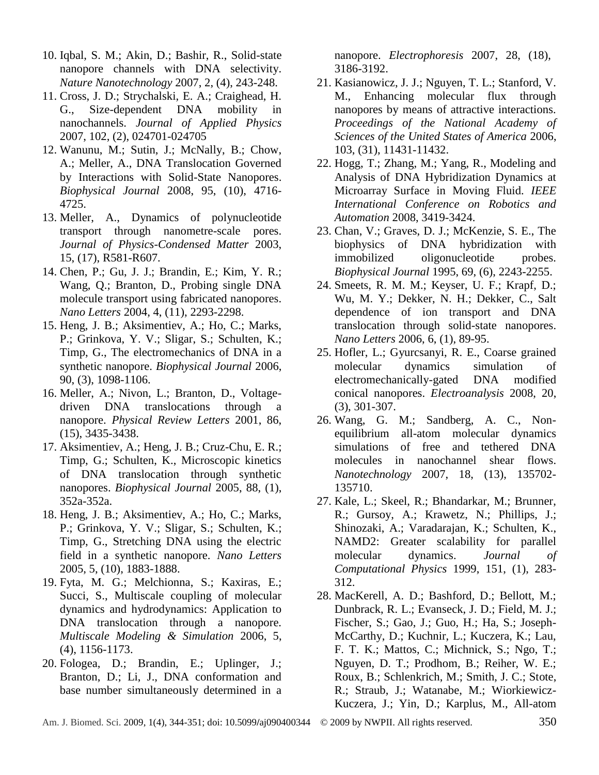- 10. Iqbal, S. M.; Akin, D.; Bashir, R., Solid-state nanopore channels with DNA selectivity. *Nature Nanotechnology* 2007, 2, (4), 243-248.
- 11. Cross, J. D.; Strychalski, E. A.; Craighead, H. G., Size-dependent DNA mobility in nanochannels. *Journal of Applied Physics*  2007, 102, (2), 024701-024705
- 12. Wanunu, M.; Sutin, J.; McNally, B.; Chow, A.; Meller, A., DNA Translocation Governed by Interactions with Solid-State Nanopores. *Biophysical Journal* 2008, 95, (10), 4716- 4725.
- 13. Meller, A., Dynamics of polynucleotide transport through nanometre-scale pores. *Journal of Physics-Condensed Matter* 2003, 15, (17), R581-R607.
- 14. Chen, P.; Gu, J. J.; Brandin, E.; Kim, Y. R.; Wang, Q.; Branton, D., Probing single DNA molecule transport using fabricated nanopores. *Nano Letters* 2004, 4, (11), 2293-2298.
- 15. Heng, J. B.; Aksimentiev, A.; Ho, C.; Marks, P.; Grinkova, Y. V.; Sligar, S.; Schulten, K.; Timp, G., The electromechanics of DNA in a synthetic nanopore. *Biophysical Journal* 2006, 90, (3), 1098-1106.
- 16. Meller, A.; Nivon, L.; Branton, D., Voltagedriven DNA translocations through a nanopore. *Physical Review Letters* 2001, 86, (15), 3435-3438.
- 17. Aksimentiev, A.; Heng, J. B.; Cruz-Chu, E. R.; Timp, G.; Schulten, K., Microscopic kinetics of DNA translocation through synthetic nanopores. *Biophysical Journal* 2005, 88, (1), 352a-352a.
- 18. Heng, J. B.; Aksimentiev, A.; Ho, C.; Marks, P.; Grinkova, Y. V.; Sligar, S.; Schulten, K.; Timp, G., Stretching DNA using the electric field in a synthetic nanopore. *Nano Letters*  2005, 5, (10), 1883-1888.
- 19. Fyta, M. G.; Melchionna, S.; Kaxiras, E.; Succi, S., Multiscale coupling of molecular dynamics and hydrodynamics: Application to DNA translocation through a nanopore. *Multiscale Modeling & Simulation* 2006, 5, (4), 1156-1173.
- 20. Fologea, D.; Brandin, E.; Uplinger, J.; Branton, D.; Li, J., DNA conformation and base number simultaneously determined in a

nanopore. *Electrophoresis* 2007, 28, (18), 3186-3192.

- 21. Kasianowicz, J. J.; Nguyen, T. L.; Stanford, V. M., Enhancing molecular flux through nanopores by means of attractive interactions. *Proceedings of the National Academy of Sciences of the United States of America* 2006, 103, (31), 11431-11432.
- 22. Hogg, T.; Zhang, M.; Yang, R., Modeling and Analysis of DNA Hybridization Dynamics at Microarray Surface in Moving Fluid. *IEEE International Conference on Robotics and Automation* 2008, 3419-3424.
- 23. Chan, V.; Graves, D. J.; McKenzie, S. E., The biophysics of DNA hybridization with immobilized oligonucleotide probes. *Biophysical Journal* 1995, 69, (6), 2243-2255.
- 24. Smeets, R. M. M.; Keyser, U. F.; Krapf, D.; Wu, M. Y.; Dekker, N. H.; Dekker, C., Salt dependence of ion transport and DNA translocation through solid-state nanopores. *Nano Letters* 2006, 6, (1), 89-95.
- 25. Hofler, L.; Gyurcsanyi, R. E., Coarse grained molecular dynamics simulation of electromechanically-gated DNA modified conical nanopores. *Electroanalysis* 2008, 20, (3), 301-307.
- 26. Wang, G. M.; Sandberg, A. C., Nonequilibrium all-atom molecular dynamics simulations of free and tethered DNA molecules in nanochannel shear flows. *Nanotechnology* 2007, 18, (13), 135702- 135710.
- 27. Kale, L.; Skeel, R.; Bhandarkar, M.; Brunner, R.; Gursoy, A.; Krawetz, N.; Phillips, J.; Shinozaki, A.; Varadarajan, K.; Schulten, K., NAMD2: Greater scalability for parallel molecular dynamics. *Journal of Computational Physics* 1999, 151, (1), 283- 312.
- 28. MacKerell, A. D.; Bashford, D.; Bellott, M.; Dunbrack, R. L.; Evanseck, J. D.; Field, M. J.; Fischer, S.; Gao, J.; Guo, H.; Ha, S.; Joseph-McCarthy, D.; Kuchnir, L.; Kuczera, K.; Lau, F. T. K.; Mattos, C.; Michnick, S.; Ngo, T.; Nguyen, D. T.; Prodhom, B.; Reiher, W. E.; Roux, B.; Schlenkrich, M.; Smith, J. C.; Stote, R.; Straub, J.; Watanabe, M.; Wiorkiewicz-Kuczera, J.; Yin, D.; Karplus, M., All-atom